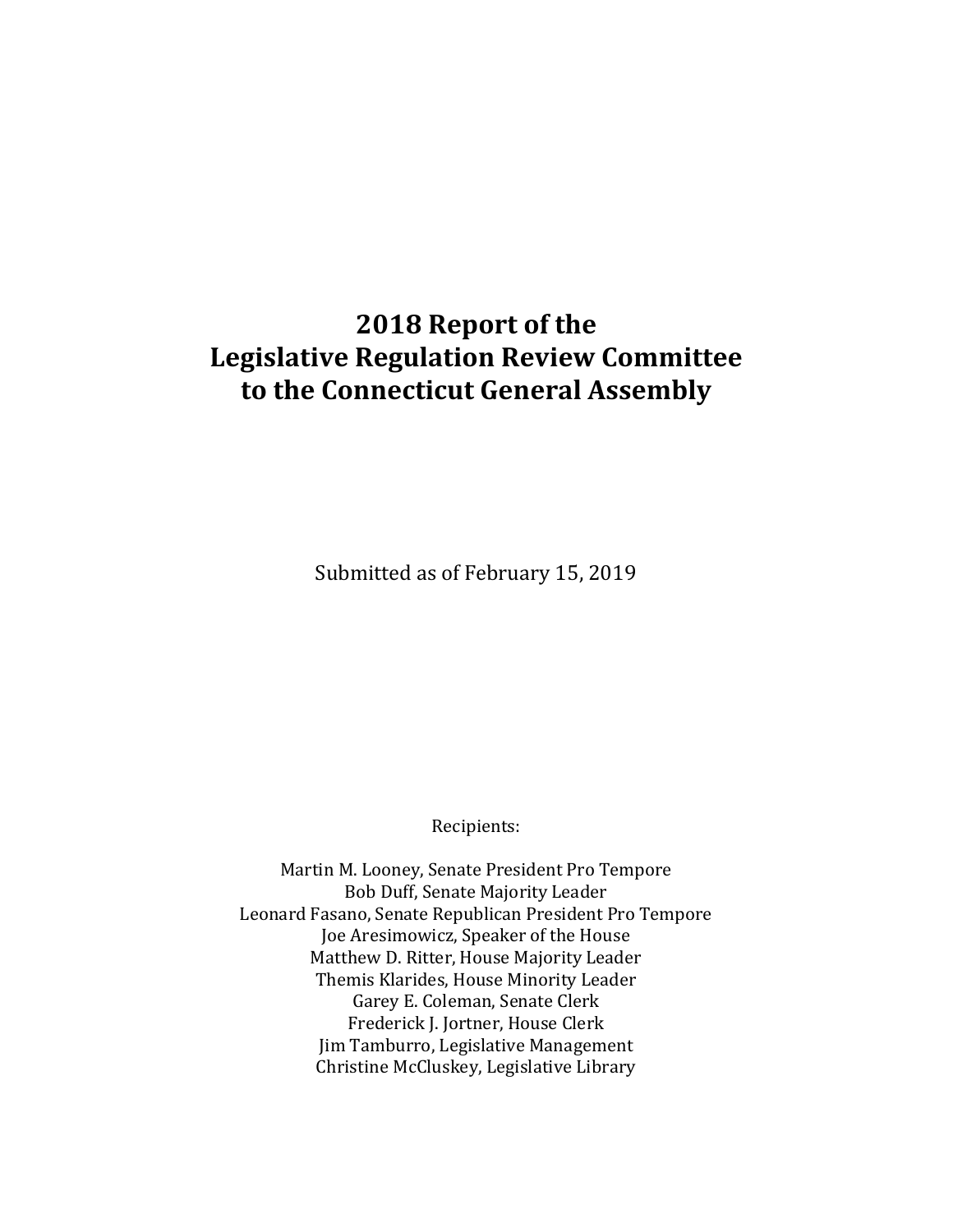# **2018 Report of the Legislative Regulation Review Committee to the Connecticut General Assembly**

Submitted as of February 15, 2019

Recipients:

Martin M. Looney, Senate President Pro Tempore Bob Duff, Senate Majority Leader Leonard Fasano, Senate Republican President Pro Tempore Joe Aresimowicz, Speaker of the House Matthew D. Ritter, House Majority Leader Themis Klarides, House Minority Leader Garey E. Coleman, Senate Clerk Frederick J. Jortner, House Clerk Jim Tamburro, Legislative Management Christine McCluskey, Legislative Library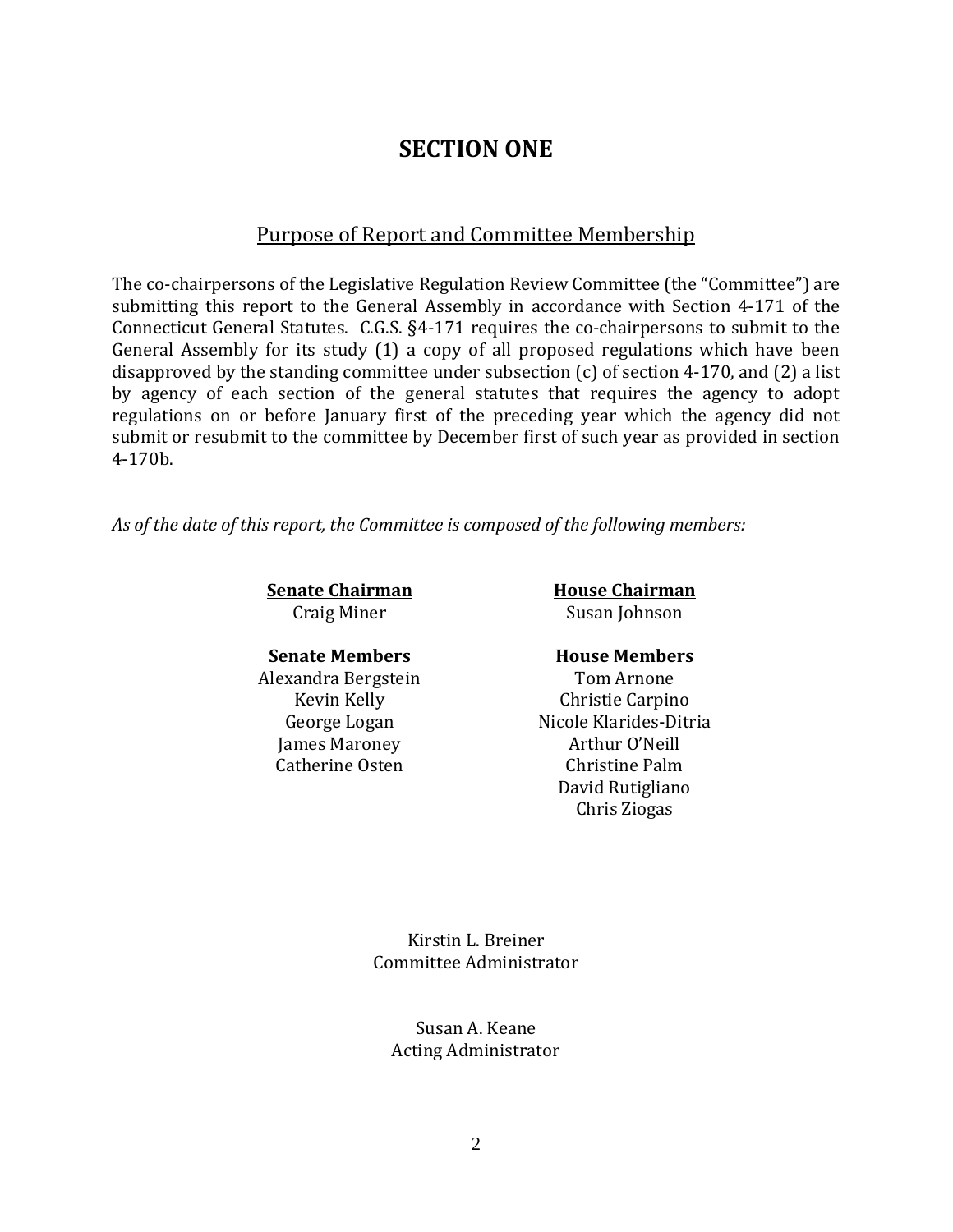## **SECTION ONE**

### Purpose of Report and Committee Membership

The co-chairpersons of the Legislative Regulation Review Committee (the "Committee") are submitting this report to the General Assembly in accordance with Section 4-171 of the Connecticut General Statutes. C.G.S. §4-171 requires the co-chairpersons to submit to the General Assembly for its study (1) a copy of all proposed regulations which have been disapproved by the standing committee under subsection (c) of section 4-170, and (2) a list by agency of each section of the general statutes that requires the agency to adopt regulations on or before January first of the preceding year which the agency did not submit or resubmit to the committee by December first of such year as provided in section 4-170b.

*As of the date of this report, the Committee is composed of the following members:*

**Senate Chairman House Chairman** 

Craig Miner Susan Johnson

### **Senate Members House Members**

Alexandra Bergstein Tom Arnone James Maroney Arthur O'Neill

Kevin Kelly Christie Carpino George Logan Nicole Klarides-Ditria Catherine Osten Christine Palm David Rutigliano Chris Ziogas

> Kirstin L. Breiner Committee Administrator

Susan A. Keane Acting Administrator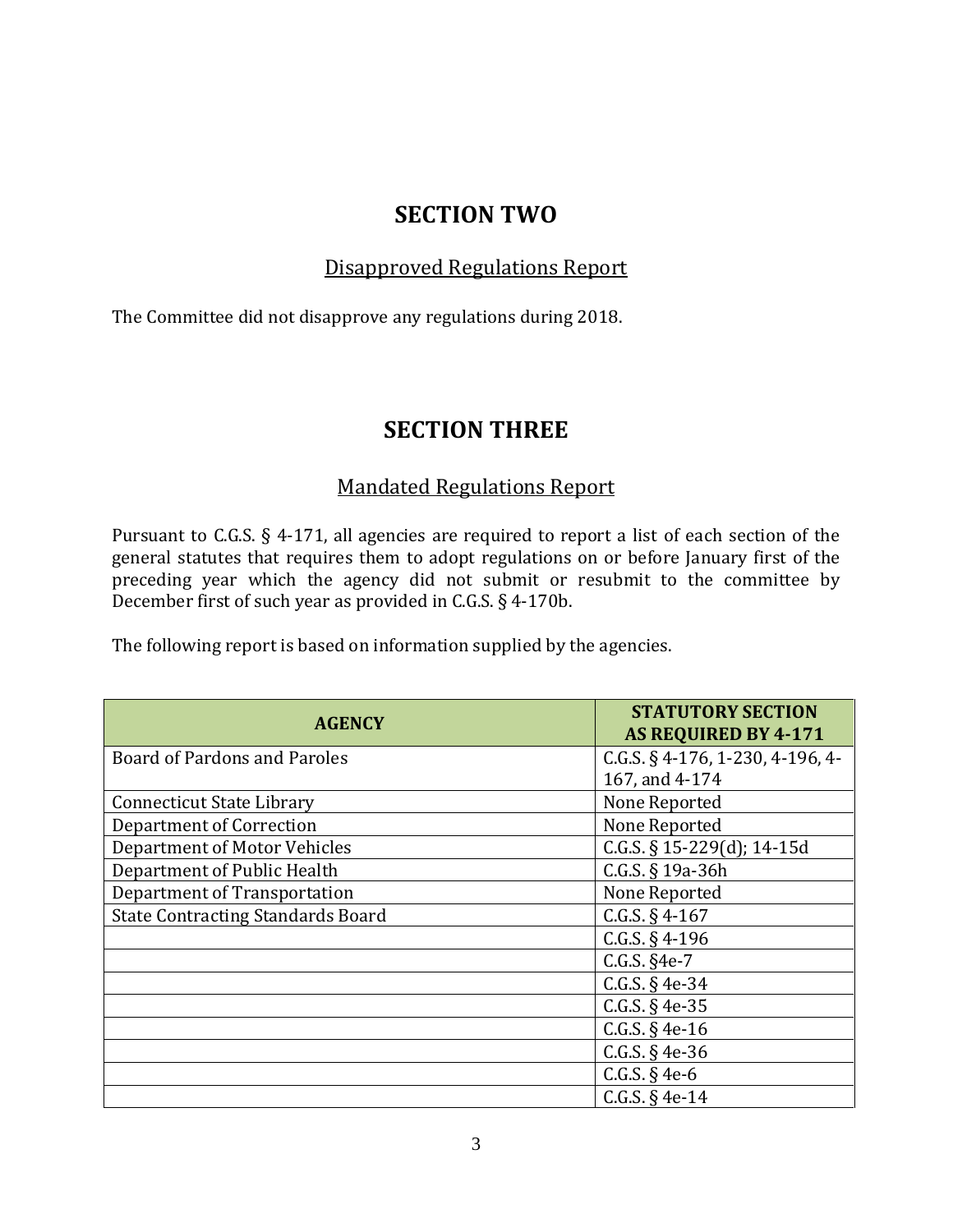## **SECTION TWO**

## Disapproved Regulations Report

The Committee did not disapprove any regulations during 2018.

## **SECTION THREE**

### Mandated Regulations Report

Pursuant to C.G.S. § 4-171, all agencies are required to report a list of each section of the general statutes that requires them to adopt regulations on or before January first of the preceding year which the agency did not submit or resubmit to the committee by December first of such year as provided in C.G.S. § 4-170b.

The following report is based on information supplied by the agencies.

| <b>AGENCY</b>                            | <b>STATUTORY SECTION</b><br><b>AS REQUIRED BY 4-171</b> |
|------------------------------------------|---------------------------------------------------------|
| <b>Board of Pardons and Paroles</b>      | C.G.S. § 4-176, 1-230, 4-196, 4-                        |
|                                          | 167, and 4-174                                          |
| <b>Connecticut State Library</b>         | None Reported                                           |
| Department of Correction                 | None Reported                                           |
| <b>Department of Motor Vehicles</b>      | C.G.S. $\S$ 15-229(d); 14-15d                           |
| Department of Public Health              | C.G.S. § 19a-36h                                        |
| Department of Transportation             | None Reported                                           |
| <b>State Contracting Standards Board</b> | C.G.S. $§$ 4-167                                        |
|                                          | C.G.S. $§$ 4-196                                        |
|                                          | C.G.S. §4e-7                                            |
|                                          | C.G.S. $§$ 4e-34                                        |
|                                          | C.G.S. $§$ 4e-35                                        |
|                                          | C.G.S. $§$ 4e-16                                        |
|                                          | C.G.S. $§$ 4e-36                                        |
|                                          | C.G.S. $§$ 4e-6                                         |
|                                          | C.G.S. $§$ 4e-14                                        |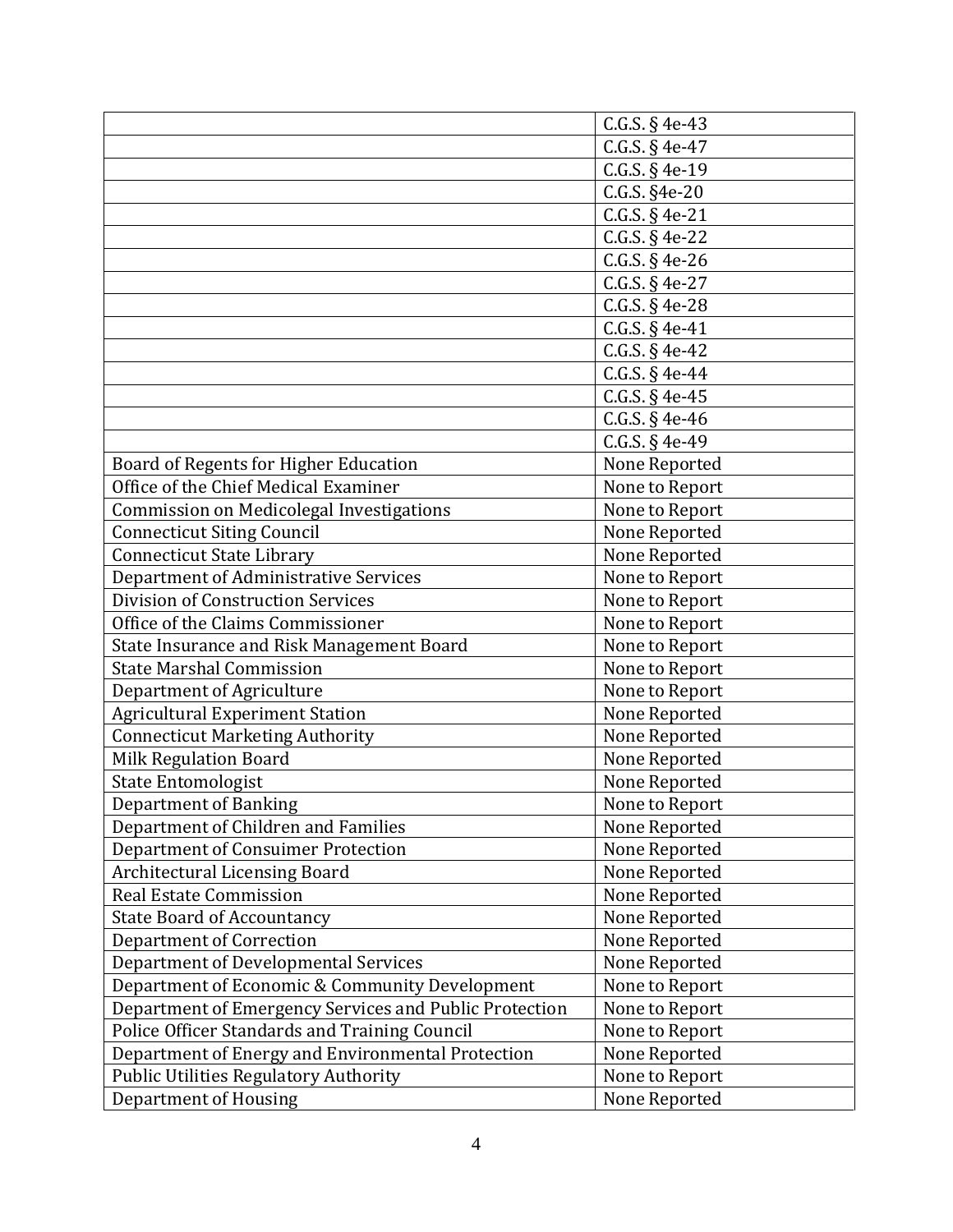|                                                        | C.G.S. § 4e-43   |
|--------------------------------------------------------|------------------|
|                                                        |                  |
|                                                        | C.G.S. $§$ 4e-47 |
|                                                        | C.G.S. § 4e-19   |
|                                                        | C.G.S. §4e-20    |
|                                                        | C.G.S. $§$ 4e-21 |
|                                                        | C.G.S. § 4e-22   |
|                                                        | $C.G.S. § 4e-26$ |
|                                                        | C.G.S. § 4e-27   |
|                                                        | C.G.S. § 4e-28   |
|                                                        | C.G.S. $§$ 4e-41 |
|                                                        | C.G.S. $§$ 4e-42 |
|                                                        | C.G.S. $§$ 4e-44 |
|                                                        | C.G.S. § 4e-45   |
|                                                        | C.G.S. § 4e-46   |
|                                                        | C.G.S. § 4e-49   |
| Board of Regents for Higher Education                  | None Reported    |
| Office of the Chief Medical Examiner                   | None to Report   |
| Commission on Medicolegal Investigations               | None to Report   |
| <b>Connecticut Siting Council</b>                      | None Reported    |
| <b>Connecticut State Library</b>                       | None Reported    |
| Department of Administrative Services                  | None to Report   |
| Division of Construction Services                      | None to Report   |
| Office of the Claims Commissioner                      | None to Report   |
| State Insurance and Risk Management Board              | None to Report   |
| <b>State Marshal Commission</b>                        | None to Report   |
| Department of Agriculture                              | None to Report   |
| <b>Agricultural Experiment Station</b>                 | None Reported    |
| <b>Connecticut Marketing Authority</b>                 | None Reported    |
| <b>Milk Regulation Board</b>                           | None Reported    |
| <b>State Entomologist</b>                              | None Reported    |
| Department of Banking                                  | None to Report   |
| Department of Children and Families                    | None Reported    |
| Department of Consuimer Protection                     | None Reported    |
| <b>Architectural Licensing Board</b>                   | None Reported    |
| <b>Real Estate Commission</b>                          | None Reported    |
| <b>State Board of Accountancy</b>                      | None Reported    |
| <b>Department of Correction</b>                        | None Reported    |
| Department of Developmental Services                   | None Reported    |
| Department of Economic & Community Development         | None to Report   |
| Department of Emergency Services and Public Protection | None to Report   |
| Police Officer Standards and Training Council          | None to Report   |
| Department of Energy and Environmental Protection      | None Reported    |
| <b>Public Utilities Regulatory Authority</b>           | None to Report   |
|                                                        |                  |
| Department of Housing                                  | None Reported    |